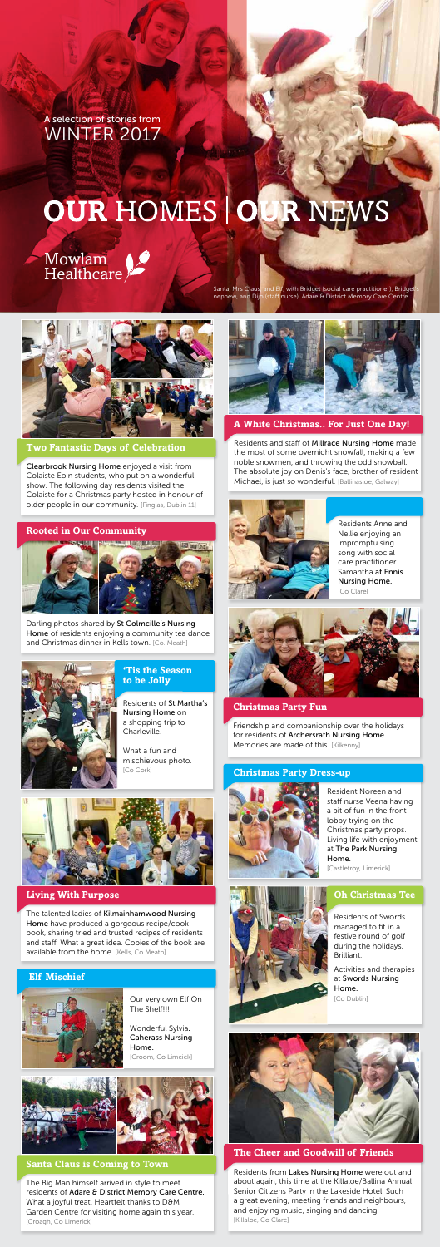#### **Christmas Party Fun**

Friendship and companionship over the holidays for residents of Archersrath Nursing Home. Memories are made of this. [Kilkenny]

Residents and staff of Millrace Nursing Home made the most of some overnight snowfall, making a few noble snowmen, and throwing the odd snowball. The absolute joy on Denis's face, brother of resident Michael, is just so wonderful. [Ballinasloe, Galway]



Residents Anne and Nellie enjoying an impromptu sing song with social care practitioner Samantha at Ennis Nursing Home. [Co Clare]







**A White Christmas.. For Just One Day!**

Resident Noreen and staff nurse Veena having a bit of fun in the front lobby trying on the Christmas party props. Living life with enjoyment at The Park Nursing Home.

The talented ladies of Kilmainhamwood Nursing Home have produced a gorgeous recipe/cook book, sharing tried and trusted recipes of residents and staff. What a great idea. Copies of the book are available from the home. [Kells, Co Meath]

[Castletroy, Limerick]



#### **Christmas Party Dress-up**



Residents from Lakes Nursing Home were out and about again, this time at the Killaloe/Ballina Annual Senior Citizens Party in the Lakeside Hotel. Such a great evening, meeting friends and neighbours, and enjoying music, singing and dancing. [Killaloe, Co Clare]

# **The Cheer and Goodwill of Friends**

Darling photos shared by St Colmcille's Nursing Home of residents enjoying a community tea dance and Christmas dinner in Kells town. [Co. Meath]



Clearbrook Nursing Home enjoyed a visit from Colaiste Eoin students, who put on a wonderful show. The following day residents visited the Colaiste for a Christmas party hosted in honour of older people in our community. [Finglas, Dublin 11]

## **Two Fantastic Days of Celebration**

# **Living With Purpose**

Our very own Elf On The Shelf!!!

Wonderful Sylvia. Caherass Nursing Home.

[Croom, Co Limeick]





## **Elf Mischief**



The Big Man himself arrived in style to meet residents of Adare & District Memory Care Centre. What a joyful treat. Heartfelt thanks to D&M Garden Centre for visiting home again this year. [Croagh, Co Limerick]

#### **Santa Claus is Coming to Town**

#### **Rooted in Our Community**



A selection of stories from WINTER 2017

# **OUR HOMES O R NEWS**

Mowlam Healthcare

Santa, Mrs Claus, and Elf, with Bridget (social care practitioner), Bridget's nephew, and Dijo (staff nurse), Adare & District Memory Care Centre



Residents of St Martha's Nursing Home on a shopping trip to Charleville.

What a fun and mischievous photo. [Co Cork]



## **'Tis the Season to be Jolly**

Residents of Swords managed to fit in a festive round of golf during the holidays. Brilliant.

Activities and therapies at Swords Nursing Home. [Co Dublin]



# **Oh Christmas Tee**